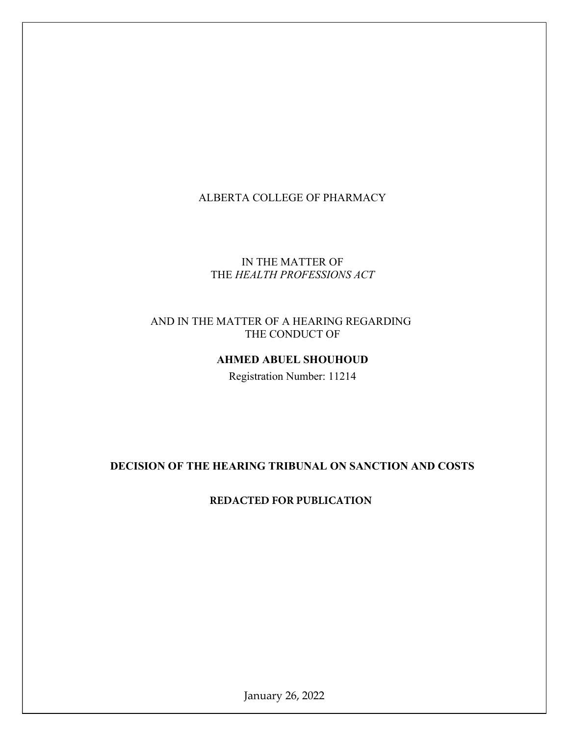## ALBERTA COLLEGE OF PHARMACY

# IN THE MATTER OF THE HEALTH PROFESSIONS ACT

## AND IN THE MATTER OF A HEARING REGARDING THE CONDUCT OF

## AHMED ABUEL SHOUHOUD

Registration Number: 11214

# DECISION OF THE HEARING TRIBUNAL ON SANCTION AND COSTS

## **REDACTED FOR PUBLICATION**

January 26, 2022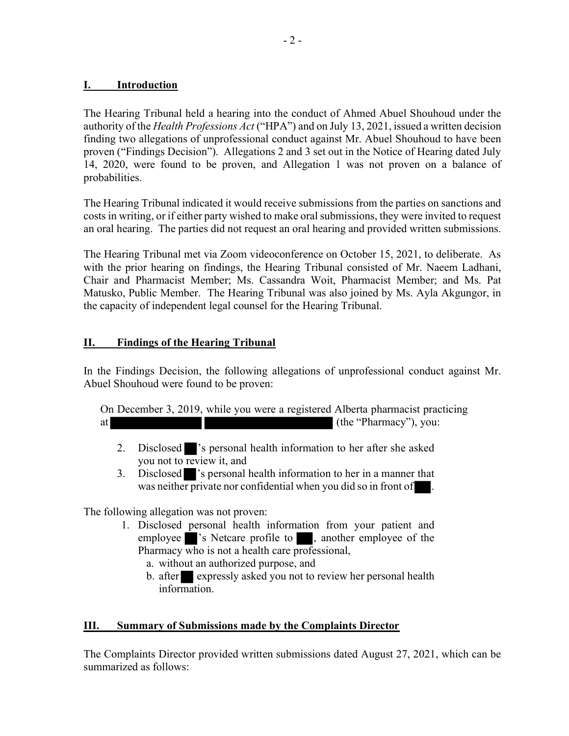### I. Introduction

The Hearing Tribunal held a hearing into the conduct of Ahmed Abuel Shouhoud under the authority of the *Health Professions Act* ("HPA") and on July 13, 2021, issued a written decision finding two allegations of unprofessional conduct against Mr. Abuel Shouhoud to have been proven ("Findings Decision"). Allegations 2 and 3 set out in the Notice of Hearing dated July 14, 2020, were found to be proven, and Allegation 1 was not proven on a balance of probabilities.

The Hearing Tribunal indicated it would receive submissions from the parties on sanctions and costs in writing, or if either party wished to make oral submissions, they were invited to request an oral hearing. The parties did not request an oral hearing and provided written submissions.

The Hearing Tribunal met via Zoom videoconference on October 15, 2021, to deliberate. As with the prior hearing on findings, the Hearing Tribunal consisted of Mr. Naeem Ladhani, Chair and Pharmacist Member; Ms. Cassandra Woit, Pharmacist Member; and Ms. Pat Matusko, Public Member. The Hearing Tribunal was also joined by Ms. Ayla Akgungor, in the capacity of independent legal counsel for the Hearing Tribunal.

### II. Findings of the Hearing Tribunal

In the Findings Decision, the following allegations of unprofessional conduct against Mr. Abuel Shouhoud were found to be proven:

On December 3, 2019, while you were a registered Alberta pharmacist practicing at (the "Pharmacy"), you:

- 2. Disclosed 's personal health information to her after she asked you not to review it, and
- 3. Disclosed 's personal health information to her in a manner that was neither private nor confidential when you did so in front of  $\blacksquare$ .

The following allegation was not proven:

- 1. Disclosed personal health information from your patient and employee 's Netcare profile to , another employee of the Pharmacy who is not a health care professional,
	- a. without an authorized purpose, and
	- b. after expressly asked you not to review her personal health information.

### III. Summary of Submissions made by the Complaints Director

The Complaints Director provided written submissions dated August 27, 2021, which can be summarized as follows: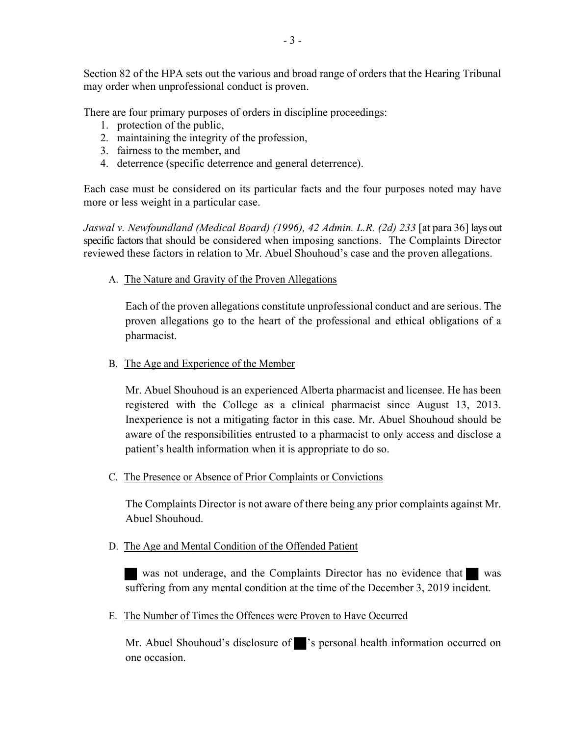Section 82 of the HPA sets out the various and broad range of orders that the Hearing Tribunal may order when unprofessional conduct is proven.

There are four primary purposes of orders in discipline proceedings:

- 1. protection of the public,
- 2. maintaining the integrity of the profession,
- 3. fairness to the member, and
- 4. deterrence (specific deterrence and general deterrence).

Each case must be considered on its particular facts and the four purposes noted may have more or less weight in a particular case.

Jaswal v. Newfoundland (Medical Board) (1996), 42 Admin. L.R. (2d) 233 [at para 36] lays out specific factors that should be considered when imposing sanctions. The Complaints Director reviewed these factors in relation to Mr. Abuel Shouhoud's case and the proven allegations.

A. The Nature and Gravity of the Proven Allegations

Each of the proven allegations constitute unprofessional conduct and are serious. The proven allegations go to the heart of the professional and ethical obligations of a pharmacist.

B. The Age and Experience of the Member

Mr. Abuel Shouhoud is an experienced Alberta pharmacist and licensee. He has been registered with the College as a clinical pharmacist since August 13, 2013. Inexperience is not a mitigating factor in this case. Mr. Abuel Shouhoud should be aware of the responsibilities entrusted to a pharmacist to only access and disclose a patient's health information when it is appropriate to do so.

C. The Presence or Absence of Prior Complaints or Convictions

The Complaints Director is not aware of there being any prior complaints against Mr. Abuel Shouhoud.

D. The Age and Mental Condition of the Offended Patient

was not underage, and the Complaints Director has no evidence that was suffering from any mental condition at the time of the December 3, 2019 incident.

E. The Number of Times the Offences were Proven to Have Occurred

Mr. Abuel Shouhoud's disclosure of 's personal health information occurred on one occasion.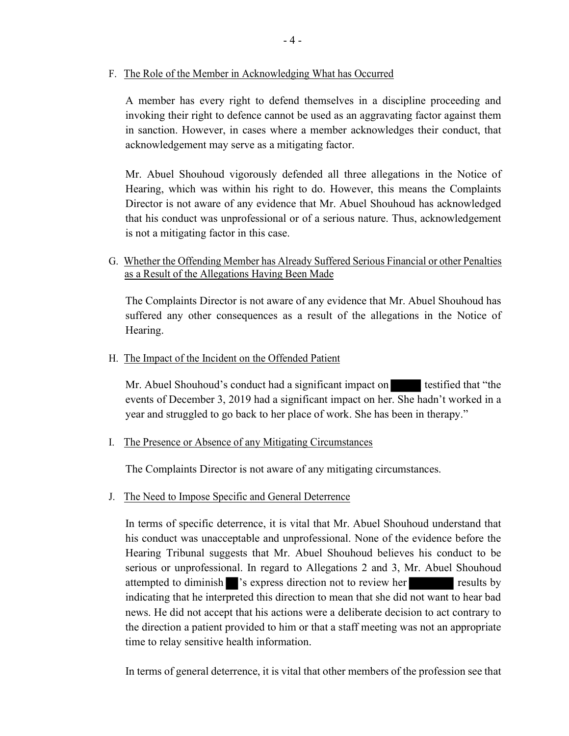F. The Role of the Member in Acknowledging What has Occurred

A member has every right to defend themselves in a discipline proceeding and invoking their right to defence cannot be used as an aggravating factor against them in sanction. However, in cases where a member acknowledges their conduct, that acknowledgement may serve as a mitigating factor.

Mr. Abuel Shouhoud vigorously defended all three allegations in the Notice of Hearing, which was within his right to do. However, this means the Complaints Director is not aware of any evidence that Mr. Abuel Shouhoud has acknowledged that his conduct was unprofessional or of a serious nature. Thus, acknowledgement is not a mitigating factor in this case.

G. Whether the Offending Member has Already Suffered Serious Financial or other Penalties as a Result of the Allegations Having Been Made

The Complaints Director is not aware of any evidence that Mr. Abuel Shouhoud has suffered any other consequences as a result of the allegations in the Notice of Hearing.

H. The Impact of the Incident on the Offended Patient

Mr. Abuel Shouhoud's conduct had a significant impact on testified that "the events of December 3, 2019 had a significant impact on her. She hadn't worked in a year and struggled to go back to her place of work. She has been in therapy."

I. The Presence or Absence of any Mitigating Circumstances

The Complaints Director is not aware of any mitigating circumstances.

J. The Need to Impose Specific and General Deterrence

In terms of specific deterrence, it is vital that Mr. Abuel Shouhoud understand that his conduct was unacceptable and unprofessional. None of the evidence before the Hearing Tribunal suggests that Mr. Abuel Shouhoud believes his conduct to be serious or unprofessional. In regard to Allegations 2 and 3, Mr. Abuel Shouhoud attempted to diminish 's express direction not to review her results by indicating that he interpreted this direction to mean that she did not want to hear bad news. He did not accept that his actions were a deliberate decision to act contrary to the direction a patient provided to him or that a staff meeting was not an appropriate time to relay sensitive health information.

In terms of general deterrence, it is vital that other members of the profession see that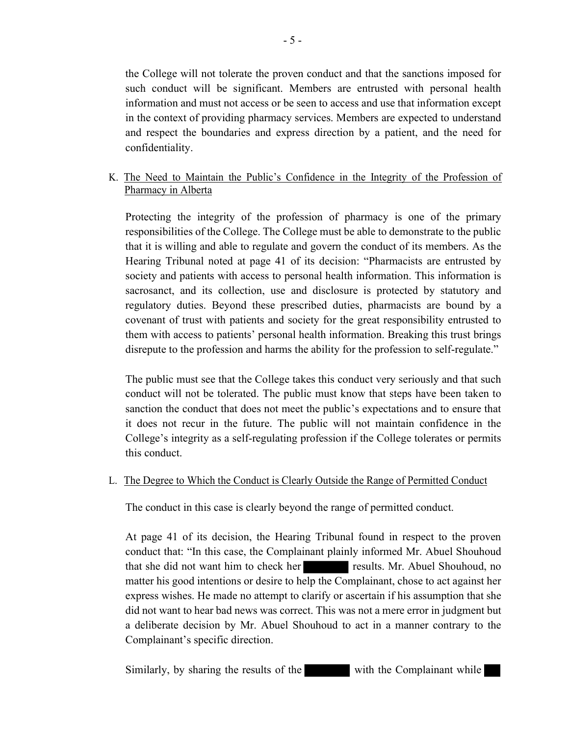the College will not tolerate the proven conduct and that the sanctions imposed for such conduct will be significant. Members are entrusted with personal health information and must not access or be seen to access and use that information except in the context of providing pharmacy services. Members are expected to understand and respect the boundaries and express direction by a patient, and the need for confidentiality.

# K. The Need to Maintain the Public's Confidence in the Integrity of the Profession of Pharmacy in Alberta

Protecting the integrity of the profession of pharmacy is one of the primary responsibilities of the College. The College must be able to demonstrate to the public that it is willing and able to regulate and govern the conduct of its members. As the Hearing Tribunal noted at page 41 of its decision: "Pharmacists are entrusted by society and patients with access to personal health information. This information is sacrosanct, and its collection, use and disclosure is protected by statutory and regulatory duties. Beyond these prescribed duties, pharmacists are bound by a covenant of trust with patients and society for the great responsibility entrusted to them with access to patients' personal health information. Breaking this trust brings disrepute to the profession and harms the ability for the profession to self-regulate."

The public must see that the College takes this conduct very seriously and that such conduct will not be tolerated. The public must know that steps have been taken to sanction the conduct that does not meet the public's expectations and to ensure that it does not recur in the future. The public will not maintain confidence in the College's integrity as a self-regulating profession if the College tolerates or permits this conduct.

## L. The Degree to Which the Conduct is Clearly Outside the Range of Permitted Conduct

The conduct in this case is clearly beyond the range of permitted conduct.

At page 41 of its decision, the Hearing Tribunal found in respect to the proven conduct that: "In this case, the Complainant plainly informed Mr. Abuel Shouhoud that she did not want him to check her results. Mr. Abuel Shouhoud, no matter his good intentions or desire to help the Complainant, chose to act against her express wishes. He made no attempt to clarify or ascertain if his assumption that she did not want to hear bad news was correct. This was not a mere error in judgment but a deliberate decision by Mr. Abuel Shouhoud to act in a manner contrary to the Complainant's specific direction.

Similarly, by sharing the results of the with the Complainant while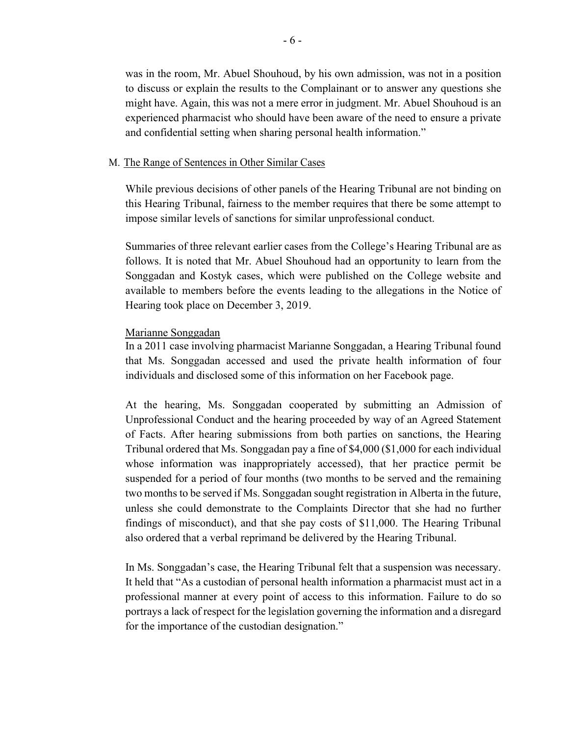was in the room, Mr. Abuel Shouhoud, by his own admission, was not in a position to discuss or explain the results to the Complainant or to answer any questions she might have. Again, this was not a mere error in judgment. Mr. Abuel Shouhoud is an experienced pharmacist who should have been aware of the need to ensure a private and confidential setting when sharing personal health information."

#### M. The Range of Sentences in Other Similar Cases

While previous decisions of other panels of the Hearing Tribunal are not binding on this Hearing Tribunal, fairness to the member requires that there be some attempt to impose similar levels of sanctions for similar unprofessional conduct.

Summaries of three relevant earlier cases from the College's Hearing Tribunal are as follows. It is noted that Mr. Abuel Shouhoud had an opportunity to learn from the Songgadan and Kostyk cases, which were published on the College website and available to members before the events leading to the allegations in the Notice of Hearing took place on December 3, 2019.

#### Marianne Songgadan

In a 2011 case involving pharmacist Marianne Songgadan, a Hearing Tribunal found that Ms. Songgadan accessed and used the private health information of four individuals and disclosed some of this information on her Facebook page.

At the hearing, Ms. Songgadan cooperated by submitting an Admission of Unprofessional Conduct and the hearing proceeded by way of an Agreed Statement of Facts. After hearing submissions from both parties on sanctions, the Hearing Tribunal ordered that Ms. Songgadan pay a fine of \$4,000 (\$1,000 for each individual whose information was inappropriately accessed), that her practice permit be suspended for a period of four months (two months to be served and the remaining two months to be served if Ms. Songgadan sought registration in Alberta in the future, unless she could demonstrate to the Complaints Director that she had no further findings of misconduct), and that she pay costs of \$11,000. The Hearing Tribunal also ordered that a verbal reprimand be delivered by the Hearing Tribunal.

In Ms. Songgadan's case, the Hearing Tribunal felt that a suspension was necessary. It held that "As a custodian of personal health information a pharmacist must act in a professional manner at every point of access to this information. Failure to do so portrays a lack of respect for the legislation governing the information and a disregard for the importance of the custodian designation."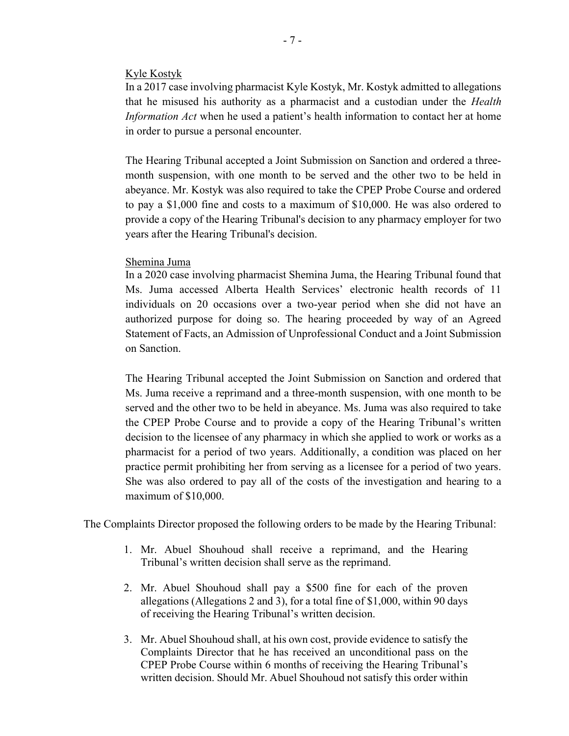#### Kyle Kostyk

In a 2017 case involving pharmacist Kyle Kostyk, Mr. Kostyk admitted to allegations that he misused his authority as a pharmacist and a custodian under the Health Information Act when he used a patient's health information to contact her at home in order to pursue a personal encounter.

The Hearing Tribunal accepted a Joint Submission on Sanction and ordered a threemonth suspension, with one month to be served and the other two to be held in abeyance. Mr. Kostyk was also required to take the CPEP Probe Course and ordered to pay a \$1,000 fine and costs to a maximum of \$10,000. He was also ordered to provide a copy of the Hearing Tribunal's decision to any pharmacy employer for two years after the Hearing Tribunal's decision.

#### Shemina Juma

In a 2020 case involving pharmacist Shemina Juma, the Hearing Tribunal found that Ms. Juma accessed Alberta Health Services' electronic health records of 11 individuals on 20 occasions over a two-year period when she did not have an authorized purpose for doing so. The hearing proceeded by way of an Agreed Statement of Facts, an Admission of Unprofessional Conduct and a Joint Submission on Sanction.

The Hearing Tribunal accepted the Joint Submission on Sanction and ordered that Ms. Juma receive a reprimand and a three-month suspension, with one month to be served and the other two to be held in abeyance. Ms. Juma was also required to take the CPEP Probe Course and to provide a copy of the Hearing Tribunal's written decision to the licensee of any pharmacy in which she applied to work or works as a pharmacist for a period of two years. Additionally, a condition was placed on her practice permit prohibiting her from serving as a licensee for a period of two years. She was also ordered to pay all of the costs of the investigation and hearing to a maximum of \$10,000.

The Complaints Director proposed the following orders to be made by the Hearing Tribunal:

- 1. Mr. Abuel Shouhoud shall receive a reprimand, and the Hearing Tribunal's written decision shall serve as the reprimand.
- 2. Mr. Abuel Shouhoud shall pay a \$500 fine for each of the proven allegations (Allegations 2 and 3), for a total fine of \$1,000, within 90 days of receiving the Hearing Tribunal's written decision.
- 3. Mr. Abuel Shouhoud shall, at his own cost, provide evidence to satisfy the Complaints Director that he has received an unconditional pass on the CPEP Probe Course within 6 months of receiving the Hearing Tribunal's written decision. Should Mr. Abuel Shouhoud not satisfy this order within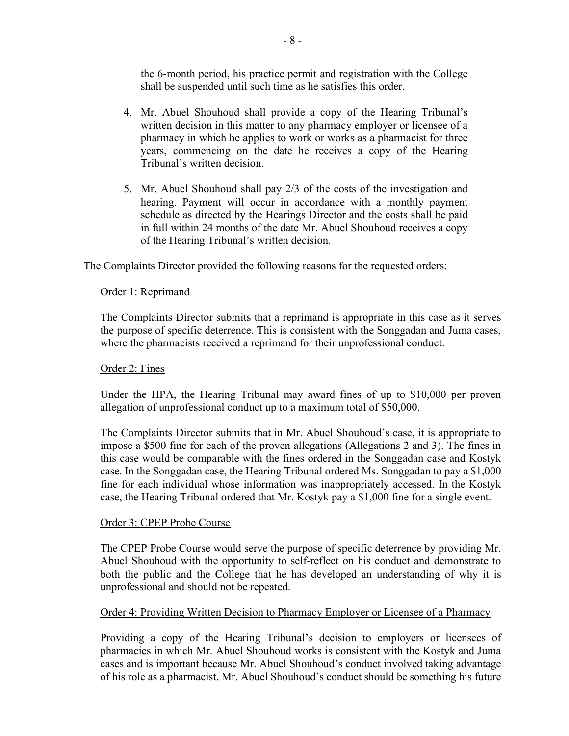the 6-month period, his practice permit and registration with the College shall be suspended until such time as he satisfies this order.

- 4. Mr. Abuel Shouhoud shall provide a copy of the Hearing Tribunal's written decision in this matter to any pharmacy employer or licensee of a pharmacy in which he applies to work or works as a pharmacist for three years, commencing on the date he receives a copy of the Hearing Tribunal's written decision.
- 5. Mr. Abuel Shouhoud shall pay 2/3 of the costs of the investigation and hearing. Payment will occur in accordance with a monthly payment schedule as directed by the Hearings Director and the costs shall be paid in full within 24 months of the date Mr. Abuel Shouhoud receives a copy of the Hearing Tribunal's written decision.

The Complaints Director provided the following reasons for the requested orders:

## Order 1: Reprimand

The Complaints Director submits that a reprimand is appropriate in this case as it serves the purpose of specific deterrence. This is consistent with the Songgadan and Juma cases, where the pharmacists received a reprimand for their unprofessional conduct.

### Order 2: Fines

Under the HPA, the Hearing Tribunal may award fines of up to \$10,000 per proven allegation of unprofessional conduct up to a maximum total of \$50,000.

The Complaints Director submits that in Mr. Abuel Shouhoud's case, it is appropriate to impose a \$500 fine for each of the proven allegations (Allegations 2 and 3). The fines in this case would be comparable with the fines ordered in the Songgadan case and Kostyk case. In the Songgadan case, the Hearing Tribunal ordered Ms. Songgadan to pay a \$1,000 fine for each individual whose information was inappropriately accessed. In the Kostyk case, the Hearing Tribunal ordered that Mr. Kostyk pay a \$1,000 fine for a single event.

### Order 3: CPEP Probe Course

The CPEP Probe Course would serve the purpose of specific deterrence by providing Mr. Abuel Shouhoud with the opportunity to self-reflect on his conduct and demonstrate to both the public and the College that he has developed an understanding of why it is unprofessional and should not be repeated.

### Order 4: Providing Written Decision to Pharmacy Employer or Licensee of a Pharmacy

Providing a copy of the Hearing Tribunal's decision to employers or licensees of pharmacies in which Mr. Abuel Shouhoud works is consistent with the Kostyk and Juma cases and is important because Mr. Abuel Shouhoud's conduct involved taking advantage of his role as a pharmacist. Mr. Abuel Shouhoud's conduct should be something his future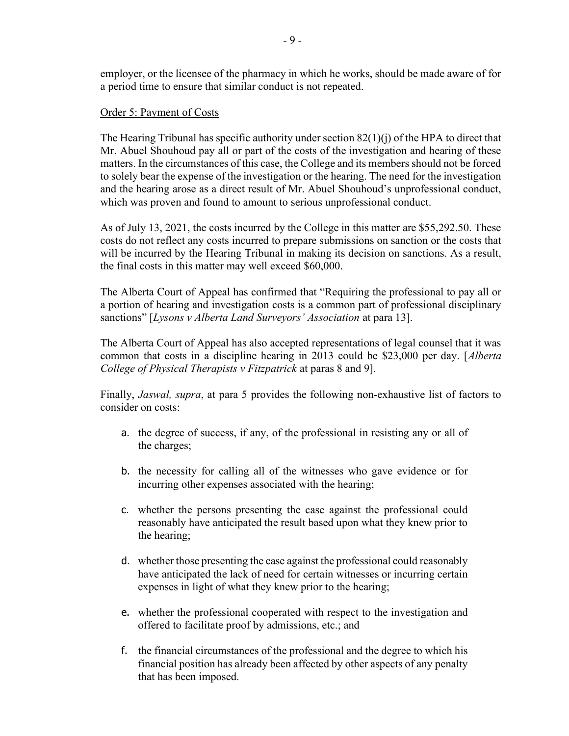employer, or the licensee of the pharmacy in which he works, should be made aware of for a period time to ensure that similar conduct is not repeated.

### Order 5: Payment of Costs

The Hearing Tribunal has specific authority under section 82(1)(j) of the HPA to direct that Mr. Abuel Shouhoud pay all or part of the costs of the investigation and hearing of these matters. In the circumstances of this case, the College and its members should not be forced to solely bear the expense of the investigation or the hearing. The need for the investigation and the hearing arose as a direct result of Mr. Abuel Shouhoud's unprofessional conduct, which was proven and found to amount to serious unprofessional conduct.

As of July 13, 2021, the costs incurred by the College in this matter are \$55,292.50. These costs do not reflect any costs incurred to prepare submissions on sanction or the costs that will be incurred by the Hearing Tribunal in making its decision on sanctions. As a result, the final costs in this matter may well exceed \$60,000.

The Alberta Court of Appeal has confirmed that "Requiring the professional to pay all or a portion of hearing and investigation costs is a common part of professional disciplinary sanctions" [Lysons v Alberta Land Surveyors' Association at para 13].

The Alberta Court of Appeal has also accepted representations of legal counsel that it was common that costs in a discipline hearing in 2013 could be \$23,000 per day. [Alberta College of Physical Therapists v Fitzpatrick at paras 8 and 9].

Finally, *Jaswal, supra*, at para 5 provides the following non-exhaustive list of factors to consider on costs:

- a. the degree of success, if any, of the professional in resisting any or all of the charges;
- b. the necessity for calling all of the witnesses who gave evidence or for incurring other expenses associated with the hearing;
- c. whether the persons presenting the case against the professional could reasonably have anticipated the result based upon what they knew prior to the hearing;
- d. whether those presenting the case against the professional could reasonably have anticipated the lack of need for certain witnesses or incurring certain expenses in light of what they knew prior to the hearing;
- e. whether the professional cooperated with respect to the investigation and offered to facilitate proof by admissions, etc.; and
- f. the financial circumstances of the professional and the degree to which his financial position has already been affected by other aspects of any penalty that has been imposed.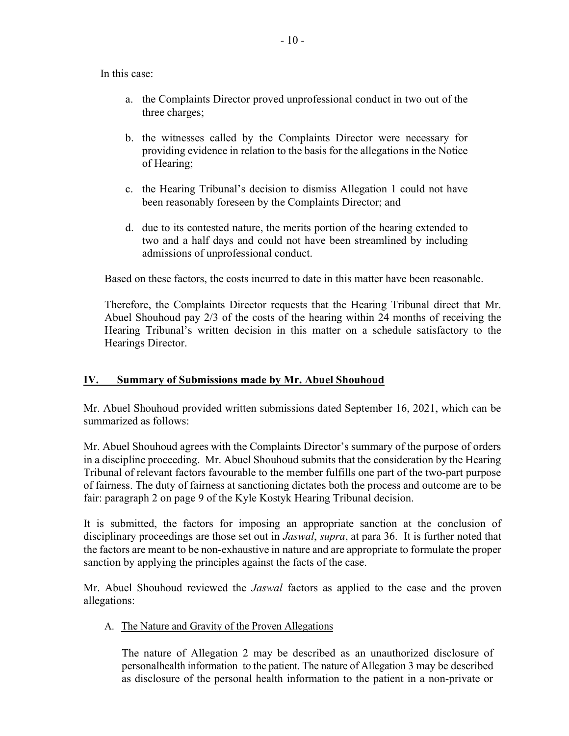In this case:

- a. the Complaints Director proved unprofessional conduct in two out of the three charges;
- b. the witnesses called by the Complaints Director were necessary for providing evidence in relation to the basis for the allegations in the Notice of Hearing;
- c. the Hearing Tribunal's decision to dismiss Allegation 1 could not have been reasonably foreseen by the Complaints Director; and
- d. due to its contested nature, the merits portion of the hearing extended to two and a half days and could not have been streamlined by including admissions of unprofessional conduct.

Based on these factors, the costs incurred to date in this matter have been reasonable.

Therefore, the Complaints Director requests that the Hearing Tribunal direct that Mr. Abuel Shouhoud pay 2/3 of the costs of the hearing within 24 months of receiving the Hearing Tribunal's written decision in this matter on a schedule satisfactory to the Hearings Director.

## IV. Summary of Submissions made by Mr. Abuel Shouhoud

Mr. Abuel Shouhoud provided written submissions dated September 16, 2021, which can be summarized as follows:

Mr. Abuel Shouhoud agrees with the Complaints Director's summary of the purpose of orders in a discipline proceeding. Mr. Abuel Shouhoud submits that the consideration by the Hearing Tribunal of relevant factors favourable to the member fulfills one part of the two-part purpose of fairness. The duty of fairness at sanctioning dictates both the process and outcome are to be fair: paragraph 2 on page 9 of the Kyle Kostyk Hearing Tribunal decision. el Shouhoud agrees with the Complaints Director's summary of the purpose of orders<br>pline proceeding. Mr. Abuel Shouhoud submits that the consideration by the Hearing<br>of relevant factors favourable to the member fulfills on

It is submitted, the factors for imposing an appropriate sanction at the conclusion of disciplinary proceedings are those set out in *Jaswal*, *supra*, at para 36. It is further noted that the factors are meant to be non-exhaustive in nature and are appropriate to formulate the proper sanction by applying the principles against the facts of the case.

Mr. Abuel Shouhoud reviewed the *Jaswal* factors as applied to the case and the proven allegations:

### A. The Nature and Gravity of the Proven Allegations

The nature of Allegation 2 may be described as an unauthorized disclosure of as disclosure of the personal health information to the patient in a non-private or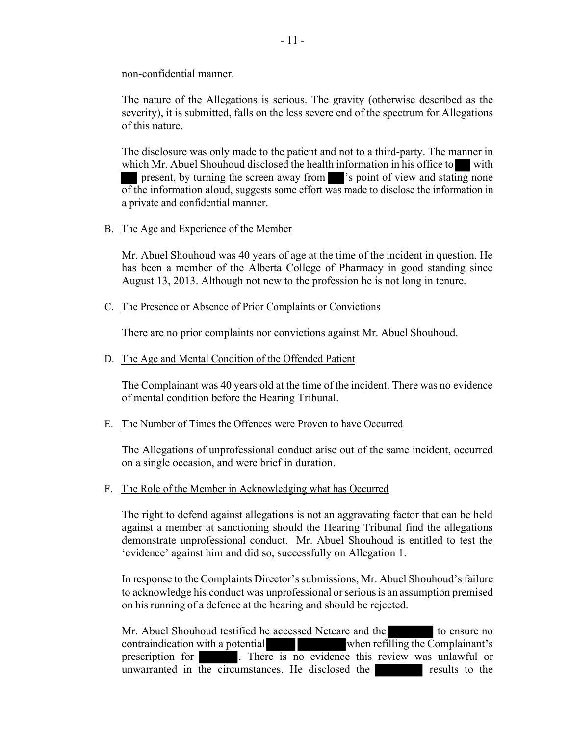non-confidential manner.

The nature of the Allegations is serious. The gravity (otherwise described as the severity), it is submitted, falls on the less severe end of the spectrum for Allegations of this nature.

The disclosure was only made to the patient and not to a third-party. The manner in which Mr. Abuel Shouhoud disclosed the health information in his office to with present, by turning the screen away from 's point of view and stating none of the information aloud, suggests some effort was made to disclose the information in a private and confidential manner.

B. The Age and Experience of the Member

Mr. Abuel Shouhoud was 40 years of age at the time of the incident in question. He has been a member of the Alberta College of Pharmacy in good standing since August 13, 2013. Although not new to the profession he is not long in tenure.

#### C. The Presence or Absence of Prior Complaints or Convictions

There are no prior complaints nor convictions against Mr. Abuel Shouhoud.

D. The Age and Mental Condition of the Offended Patient

The Complainant was 40 years old at the time of the incident. There was no evidence of mental condition before the Hearing Tribunal.

#### E. The Number of Times the Offences were Proven to have Occurred

The Allegations of unprofessional conduct arise out of the same incident, occurred on a single occasion, and were brief in duration.

F. The Role of the Member in Acknowledging what has Occurred

The right to defend against allegations is not an aggravating factor that can be held against a member at sanctioning should the Hearing Tribunal find the allegations demonstrate unprofessional conduct. Mr. Abuel Shouhoud is entitled to test the 'evidence' against him and did so, successfully on Allegation 1.

In response to the Complaints Director's submissions, Mr. Abuel Shouhoud's failure to acknowledge his conduct was unprofessional or serious is an assumption premised on his running of a defence at the hearing and should be rejected.

Mr. Abuel Shouhoud testified he accessed Netcare and the to ensure no contraindication with a potential when refilling the Complainant's prescription for . There is no evidence this review was unlawful or unwarranted in the circumstances. He disclosed the results to the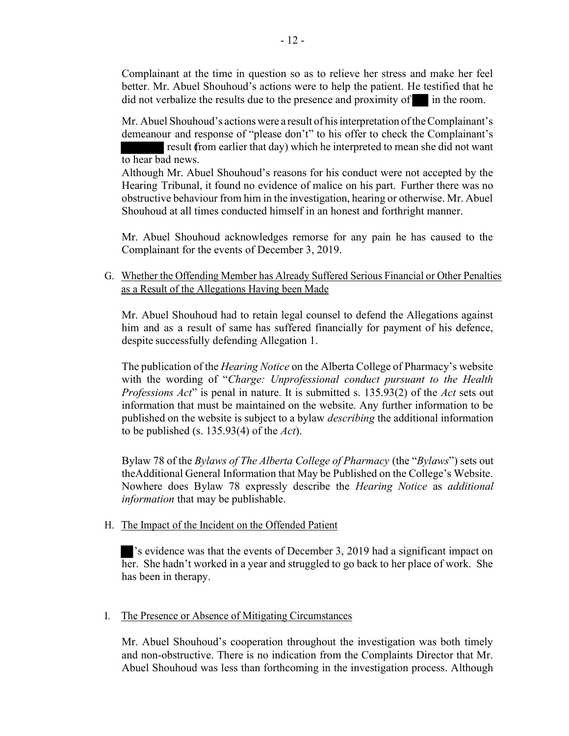Complainant at the time in question so as to relieve her stress and make her feel better. Mr. Abuel Shouhoud's actions were to help the patient. He testified that he did not verbalize the results due to the presence and proximity of in the room.

Mr. Abuel Shouhoud's actions were a result of his interpretation of the Complainant's demeanour and response of "please don't" to his offer to check the Complainant's result (from earlier that day) which he interpreted to mean she did not want to hear bad news.

Although Mr. Abuel Shouhoud's reasons for his conduct were not accepted by the Hearing Tribunal, it found no evidence of malice on his part. Further there was no obstructive behaviour from him in the investigation, hearing or otherwise. Mr. Abuel Shouhoud at all times conducted himself in an honest and forthright manner.

Mr. Abuel Shouhoud acknowledges remorse for any pain he has caused to the Complainant for the events of December 3, 2019.

G. Whether the Offending Member has Already Suffered Serious Financial or Other Penalties as a Result of the Allegations Having been Made

Mr. Abuel Shouhoud had to retain legal counsel to defend the Allegations against him and as a result of same has suffered financially for payment of his defence, despite successfully defending Allegation 1.

The publication of the *Hearing Notice* on the Alberta College of Pharmacy's website with the wording of "Charge: Unprofessional conduct pursuant to the Health Professions Act" is penal in nature. It is submitted s. 135.93(2) of the Act sets out information that must be maintained on the website. Any further information to be published on the website is subject to a bylaw describing the additional information to be published (s. 135.93(4) of the  $Act$ ).

Bylaw 78 of the Bylaws of The Alberta College of Pharmacy (the "Bylaws") sets out the Additional General Information that May be Published on the College's Website. Nowhere does Bylaw 78 expressly describe the Hearing Notice as additional information that may be publishable.

### H. The Impact of the Incident on the Offended Patient

's evidence was that the events of December 3, 2019 had a significant impact on her. She hadn't worked in a year and struggled to go back to her place of work. She has been in therapy.

## I. The Presence or Absence of Mitigating Circumstances

Mr. Abuel Shouhoud's cooperation throughout the investigation was both timely and non- obstructive. There is no indication from the Complaints Director that Mr. Abuel Shouhoud was less than forthcoming in the investigation process. Although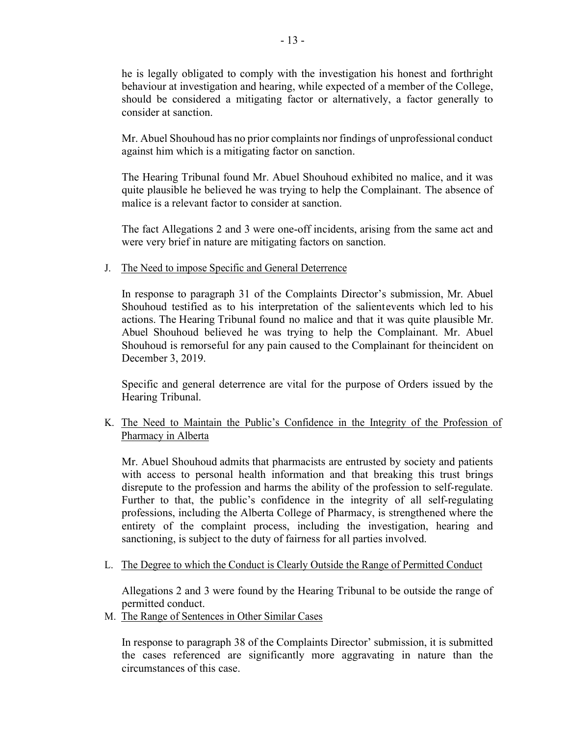he is legally obligated to comply with the investigation his honest and forthright behaviour at investigation and hearing, while expected of a member of the College, should be considered a mitigating factor or alternatively, a factor generally to consider at sanction.

Mr. Abuel Shouhoud has no prior complaints nor findings of unprofessional conduct against him which is a mitigating factor on sanction.

The Hearing Tribunal found Mr. Abuel Shouhoud exhibited no malice, and it was quite plausible he believed he was trying to help the Complainant. The absence of malice is a relevant factor to consider at sanction.

The fact Allegations 2 and 3 were one-off incidents, arising from the same act and were very brief in nature are mitigating factors on sanction.

J. The Need to impose Specific and General Deterrence

In response to paragraph 31 of the Complaints Director's submission, Mr. Abuel Shouhoud testified as to his interpretation of the salient events which led to his actions. The Hearing Tribunal found no malice and that it was quite plausible Mr. Abuel Shouhoud believed he was trying to help the Complainant. Mr. Abuel Shouhoud is remorseful for any pain caused to the Complainant for the incident on December 3, 2019.

Specific and general deterrence are vital for the purpose of Orders issued by the Hearing Tribunal.

## K. The Need to Maintain the Public's Confidence in the Integrity of the Profession of Pharmacy in Alberta

Mr. Abuel Shouhoud admits that pharmacists are entrusted by society and patients with access to personal health information and that breaking this trust brings disrepute to the profession and harms the ability of the profession to self-regulate. Further to that, the public's confidence in the integrity of all self-regulating professions, including the Alberta College of Pharmacy, is strengthened where the entirety of the complaint process, including the investigation, hearing and sanctioning, is subject to the duty of fairness for all parties involved.

L. The Degree to which the Conduct is Clearly Outside the Range of Permitted Conduct

Allegations 2 and 3 were found by the Hearing Tribunal to be outside the range of permitted conduct.

M. The Range of Sentences in Other Similar Cases

In response to paragraph 38 of the Complaints Director' submission, it is submitted the cases referenced are significantly more aggravating in nature than the circumstances of this case.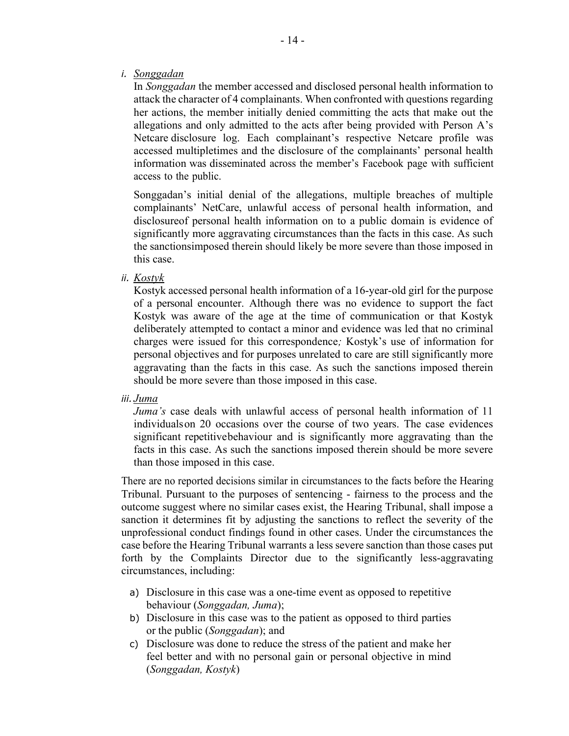i. Songgadan

In Songgadan the member accessed and disclosed personal health information to attack the character of 4 complainants. When confronted with questions regarding her actions, the member initially denied committing the acts that make out the allegations and only admitted to the acts after being provided with Person A's Netcare disclosure log. Each complainant's respective Netcare profile was accessed multiple times and the disclosure of the complainants' personal health information was disseminated across the member's Facebook page with sufficient access to the public.

Songgadan's initial denial of the allegations, multiple breaches of multiple complainants' NetCare, unlawful access of personal health information, and disclosureof personal health information on to a public domain is evidence of significantly more aggravating circumstances than the facts in this case. As such the sanctions imposed therein should likely be more severe than those imposed in this case.

ii. Kostyk

Kostyk accessed personal health information of a 16-year-old girl for the purpose of a personal encounter. Although there was no evidence to support the fact Kostyk was aware of the age at the time of communication or that Kostyk deliberately attempted to contact a minor and evidence was led that no criminal charges were issued for this correspondence; Kostyk's use of information for personal objectives and for purposes unrelated to care are still significantly more aggravating than the facts in this case. As such the sanctions imposed therein should be more severe than those imposed in this case.

iii. Juma

Juma's case deals with unlawful access of personal health information of 11 individuals on 20 occasions over the course of two years. The case evidences significant repetitivebehaviour and is significantly more aggravating than the facts in this case. As such the sanctions imposed therein should be more severe than those imposed in this case.

There are no reported decisions similar in circumstances to the facts before the Hearing Tribunal. Pursuant to the purposes of sentencing - fairness to the process and the outcome suggest where no similar cases exist, the Hearing Tribunal, shall impose a sanction it determines fit by adjusting the sanctions to reflect the severity of the unprofessional conduct findings found in other cases. Under the circumstances the case before the Hearing Tribunal warrants a less severe sanction than those cases put forth by the Complaints Director due to the significantly less-aggravating circumstances, including:

- a) Disclosure in this case was a one-time event as opposed to repetitive behaviour (Songgadan, Juma);
- b) Disclosure in this case was to the patient as opposed to third parties or the public (Songgadan); and
- c) Disclosure was done to reduce the stress of the patient and make her feel better and with no personal gain or personal objective in mind (Songgadan, Kostyk)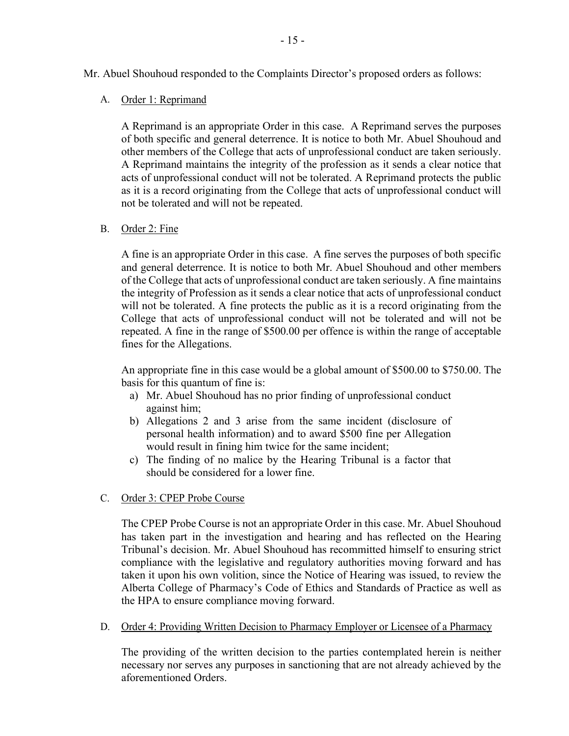Mr. Abuel Shouhoud responded to the Complaints Director's proposed orders as follows:

A. Order 1: Reprimand

A Reprimand is an appropriate Order in this case. A Reprimand serves the purposes of both specific and general deterrence. It is notice to both Mr. Abuel Shouhoud and other members of the College that acts of unprofessional conduct are taken seriously. A Reprimand maintains the integrity of the profession as it sends a clear notice that acts of unprofessional conduct will not be tolerated. A Reprimand protects the public as it is a record originating from the College that acts of unprofessional conduct will not be tolerated and will not be repeated.

B. Order 2: Fine

A fine is an appropriate Order in this case. A fine serves the purposes of both specific and general deterrence. It is notice to both Mr. Abuel Shouhoud and other members of the College that acts of unprofessional conduct are taken seriously. A fine maintains the integrity of Profession as it sends a clear notice that acts of unprofessional conduct will not be tolerated. A fine protects the public as it is a record originating from the College that acts of unprofessional conduct will not be tolerated and will not be repeated. A fine in the range of \$500.00 per offence is within the range of acceptable fines for the Allegations.

An appropriate fine in this case would be a global amount of \$500.00 to \$750.00. The basis for this quantum of fine is:

- a) Mr. Abuel Shouhoud has no prior finding of unprofessional conduct against him;
- b) Allegations 2 and 3 arise from the same incident (disclosure of personal health information) and to award \$500 fine per Allegation would result in fining him twice for the same incident;
- c) The finding of no malice by the Hearing Tribunal is a factor that should be considered for a lower fine.
- C. Order 3: CPEP Probe Course

The CPEP Probe Course is not an appropriate Order in this case. Mr. Abuel Shouhoud has taken part in the investigation and hearing and has reflected on the Hearing Tribunal's decision. Mr. Abuel Shouhoud has recommitted himself to ensuring strict compliance with the legislative and regulatory authorities moving forward and has taken it upon his own volition, since the Notice of Hearing was issued, to review the Alberta College of Pharmacy's Code of Ethics and Standards of Practice as well as the HPA to ensure compliance moving forward.

D. Order 4: Providing Written Decision to Pharmacy Employer or Licensee of a Pharmacy

The providing of the written decision to the parties contemplated herein is neither necessary nor serves any purposes in sanctioning that are not already achieved by the aforementioned Orders.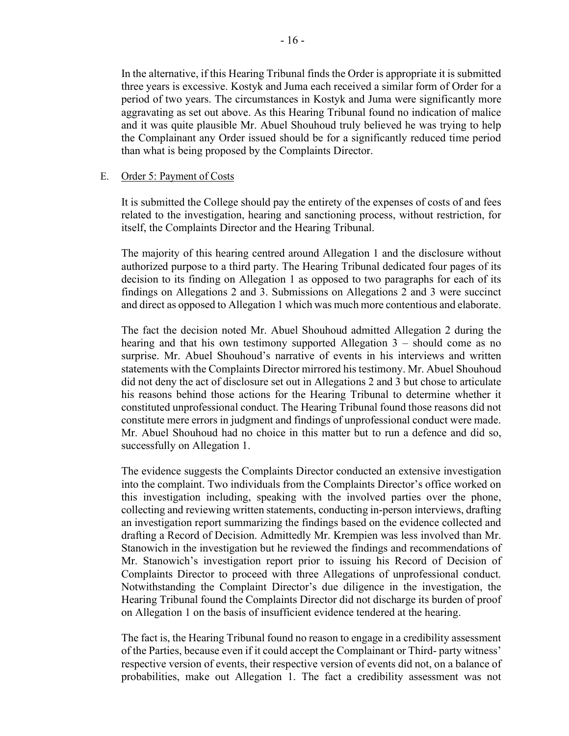In the alternative, if this Hearing Tribunal finds the Order is appropriate it is submitted three years is excessive. Kostyk and Juma each received a similar form of Order for a period of two years. The circumstances in Kostyk and Juma were significantly more aggravating as set out above. As this Hearing Tribunal found no indication of malice and it was quite plausible Mr. Abuel Shouhoud truly believed he was trying to help the Complainant any Order issued should be for a significantly reduced time period than what is being proposed by the Complaints Director.

#### E. Order 5: Payment of Costs

It is submitted the College should pay the entirety of the expenses of costs of and fees related to the investigation, hearing and sanctioning process, without restriction, for itself, the Complaints Director and the Hearing Tribunal.

The majority of this hearing centred around Allegation 1 and the disclosure without authorized purpose to a third party. The Hearing Tribunal dedicated four pages of its decision to its finding on Allegation 1 as opposed to two paragraphs for each of its findings on Allegations 2 and 3. Submissions on Allegations 2 and 3 were succinct and direct as opposed to Allegation 1 which was much more contentious and elaborate.

The fact the decision noted Mr. Abuel Shouhoud admitted Allegation 2 during the hearing and that his own testimony supported Allegation 3 – should come as no surprise. Mr. Abuel Shouhoud's narrative of events in his interviews and written statements with the Complaints Director mirrored his testimony. Mr. Abuel Shouhoud did not deny the act of disclosure set out in Allegations 2 and 3 but chose to articulate his reasons behind those actions for the Hearing Tribunal to determine whether it constituted unprofessional conduct. The Hearing Tribunal found those reasons did not constitute mere errors in judgment and findings of unprofessional conduct were made. Mr. Abuel Shouhoud had no choice in this matter but to run a defence and did so, successfully on Allegation 1.

The evidence suggests the Complaints Director conducted an extensive investigation into the complaint. Two individuals from the Complaints Director's office worked on this investigation including, speaking with the involved parties over the phone, collecting and reviewing written statements, conducting in-person interviews, drafting an investigation report summarizing the findings based on the evidence collected and drafting a Record of Decision. Admittedly Mr. Krempien was less involved than Mr. Stanowich in the investigation but he reviewed the findings and recommendations of Mr. Stanowich's investigation report prior to issuing his Record of Decision of Complaints Director to proceed with three Allegations of unprofessional conduct. Notwithstanding the Complaint Director's due diligence in the investigation, the Hearing Tribunal found the Complaints Director did not discharge its burden of proof on Allegation 1 on the basis of insufficient evidence tendered at the hearing.

The fact is, the Hearing Tribunal found no reason to engage in a credibility assessment of the Parties, because even if it could accept the Complainant or Third- party witness' respective version of events, their respective version of events did not, on a balance of probabilities, make out Allegation 1. The fact a credibility assessment was not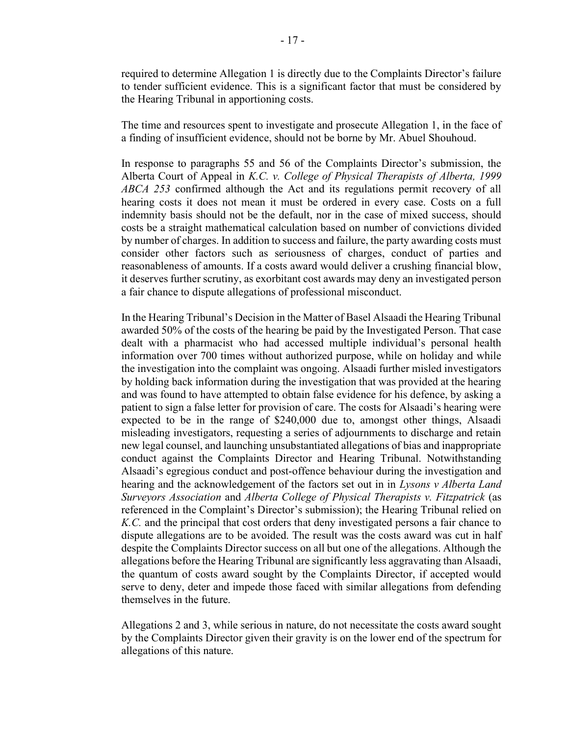required to determine Allegation 1 is directly due to the Complaints Director's failure to tender sufficient evidence. This is a significant factor that must be considered by the Hearing Tribunal in apportioning costs.

The time and resources spent to investigate and prosecute Allegation 1, in the face of a finding of insufficient evidence, should not be borne by Mr. Abuel Shouhoud.

In response to paragraphs 55 and 56 of the Complaints Director's submission, the Alberta Court of Appeal in K.C. v. College of Physical Therapists of Alberta, 1999 ABCA 253 confirmed although the Act and its regulations permit recovery of all hearing costs it does not mean it must be ordered in every case. Costs on a full indemnity basis should not be the default, nor in the case of mixed success, should costs be a straight mathematical calculation based on number of convictions divided by number of charges. In addition to success and failure, the party awarding costs must consider other factors such as seriousness of charges, conduct of parties and reasonableness of amounts. If a costs award would deliver a crushing financial blow, it deserves further scrutiny, as exorbitant cost awards may deny an investigated person a fair chance to dispute allegations of professional misconduct.

In the Hearing Tribunal's Decision in the Matter of Basel Alsaadi the Hearing Tribunal awarded 50% of the costs of the hearing be paid by the Investigated Person. That case dealt with a pharmacist who had accessed multiple individual's personal health information over 700 times without authorized purpose, while on holiday and while the investigation into the complaint was ongoing. Alsaadi further misled investigators by holding back information during the investigation that was provided at the hearing and was found to have attempted to obtain false evidence for his defence, by asking a patient to sign a false letter for provision of care. The costs for Alsaadi's hearing were expected to be in the range of \$240,000 due to, amongst other things, Alsaadi misleading investigators, requesting a series of adjournments to discharge and retain new legal counsel, and launching unsubstantiated allegations of bias and inappropriate conduct against the Complaints Director and Hearing Tribunal. Notwithstanding Alsaadi's egregious conduct and post-offence behaviour during the investigation and hearing and the acknowledgement of the factors set out in in Lysons v Alberta Land Surveyors Association and Alberta College of Physical Therapists v. Fitzpatrick (as referenced in the Complaint's Director's submission); the Hearing Tribunal relied on K.C. and the principal that cost orders that deny investigated persons a fair chance to dispute allegations are to be avoided. The result was the costs award was cut in half despite the Complaints Director success on all but one of the allegations. Although the allegations before the Hearing Tribunal are significantly less aggravating than Alsaadi, the quantum of costs award sought by the Complaints Director, if accepted would serve to deny, deter and impede those faced with similar allegations from defending themselves in the future.

Allegations 2 and 3, while serious in nature, do not necessitate the costs award sought by the Complaints Director given their gravity is on the lower end of the spectrum for allegations of this nature.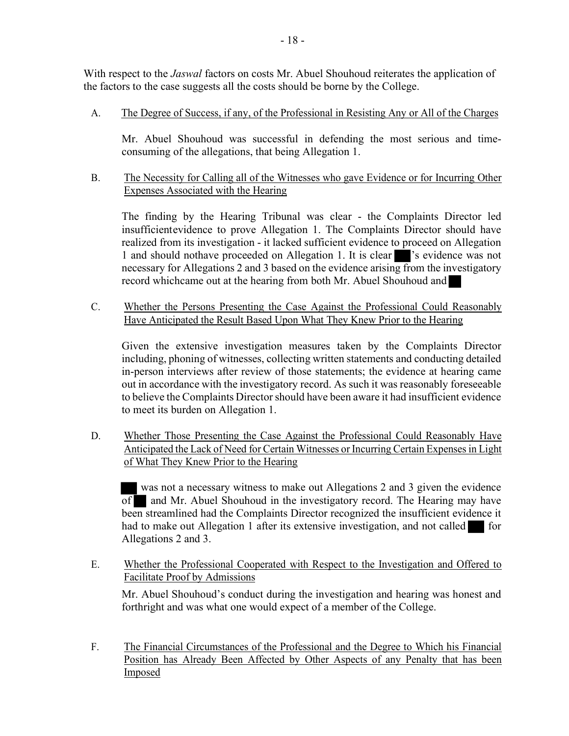With respect to the *Jaswal* factors on costs Mr. Abuel Shouhoud reiterates the application of the factors to the case suggests all the costs should be borne by the College.

A. The Degree of Success, if any, of the Professional in Resisting Any or All of the Charges

Mr. Abuel Shouhoud was successful in defending the most serious and timeconsuming of the allegations, that being Allegation 1.

## B. The Necessity for Calling all of the Witnesses who gave Evidence or for Incurring Other Expenses Associated with the Hearing

The finding by the Hearing Tribunal was clear - the Complaints Director led insufficient evidence to prove Allegation 1. The Complaints Director should have realized from its investigation - it lacked sufficient evidence to proceed on Allegation 1 and should nothave proceeded on Allegation 1. It is clear s's evidence was not necessary for Allegations 2 and 3 based on the evidence arising from the investigatory record which came out at the hearing from both Mr. Abuel Shouhoud and

C. Whether the Persons Presenting the Case Against the Professional Could Reasonably Have Anticipated the Result Based Upon What They Knew Prior to the Hearing

Given the extensive investigation measures taken by the Complaints Director including, phoning of witnesses, collecting written statements and conducting detailed in-person interviews after review of those statements; the evidence at hearing came out in accordance with the investigatory record. As such it was reasonably foreseeable to believe the Complaints Director should have been aware it had insufficient evidence to meet its burden on Allegation 1.

D. Whether Those Presenting the Case Against the Professional Could Reasonably Have Anticipated the Lack of Need for Certain Witnesses or Incurring Certain Expenses in Light of What They Knew Prior to the Hearing

was not a necessary witness to make out Allegations 2 and 3 given the evidence of and Mr. Abuel Shouhoud in the investigatory record. The Hearing may have been streamlined had the Complaints Director recognized the insufficient evidence it had to make out Allegation 1 after its extensive investigation, and not called for Allegations 2 and 3.

E. Whether the Professional Cooperated with Respect to the Investigation and Offered to Facilitate Proof by Admissions

Mr. Abuel Shouhoud's conduct during the investigation and hearing was honest and forthright and was what one would expect of a member of the College.

F. The Financial Circumstances of the Professional and the Degree to Which his Financial Position has Already Been Affected by Other Aspects of any Penalty that has been Imposed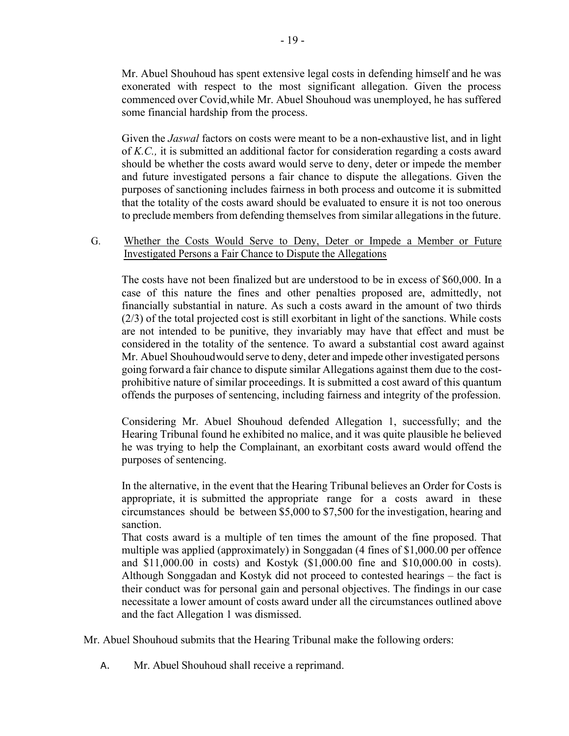Mr. Abuel Shouhoud has spent extensive legal costs in defending himself and he was exonerated with respect to the most significant allegation. Given the process commenced over Covid, while Mr. Abuel Shouhoud was unemployed, he has suffered some financial hardship from the process.

Given the *Jaswal* factors on costs were meant to be a non-exhaustive list, and in light of K.C., it is submitted an additional factor for consideration regarding a costs award should be whether the costs award would serve to deny, deter or impede the member and future investigated persons a fair chance to dispute the allegations. Given the purposes of sanctioning includes fairness in both process and outcome it is submitted that the totality of the costs award should be evaluated to ensure it is not too onerous to preclude members from defending themselves from similar allegations in the future.

### G. Whether the Costs Would Serve to Deny, Deter or Impede a Member or Future Investigated Persons a Fair Chance to Dispute the Allegations

The costs have not been finalized but are understood to be in excess of \$60,000. In a case of this nature the fines and other penalties proposed are, admittedly, not financially substantial in nature. As such a costs award in the amount of two thirds (2/3) of the total projected cost is still exorbitant in light of the sanctions. While costs are not intended to be punitive, they invariably may have that effect and must be considered in the totality of the sentence. To award a substantial cost award against Mr. Abuel Shouhoud would serve to deny, deter and impede other investigated persons going forward a fair chance to dispute similar Allegations against them due to the costprohibitive nature of similar proceedings. It is submitted a cost award of this quantum offends the purposes of sentencing, including fairness and integrity of the profession.

Considering Mr. Abuel Shouhoud defended Allegation 1, successfully; and the Hearing Tribunal found he exhibited no malice, and it was quite plausible he believed he was trying to help the Complainant, an exorbitant costs award would offend the purposes of sentencing.

In the alternative, in the event that the Hearing Tribunal believes an Order for Costs is appropriate, it is submitted the appropriate range for a costs award in these circumstances should be between \$5,000 to \$7,500 for the investigation, hearing and sanction.

That costs award is a multiple of ten times the amount of the fine proposed. That multiple was applied (approximately) in Songgadan (4 fines of \$1,000.00 per offence and \$11,000.00 in costs) and Kostyk (\$1,000.00 fine and \$10,000.00 in costs). Although Songgadan and Kostyk did not proceed to contested hearings – the fact is their conduct was for personal gain and personal objectives. The findings in our case necessitate a lower amount of costs award under all the circumstances outlined above and the fact Allegation 1 was dismissed.

Mr. Abuel Shouhoud submits that the Hearing Tribunal make the following orders:

A. Mr. Abuel Shouhoud shall receive a reprimand.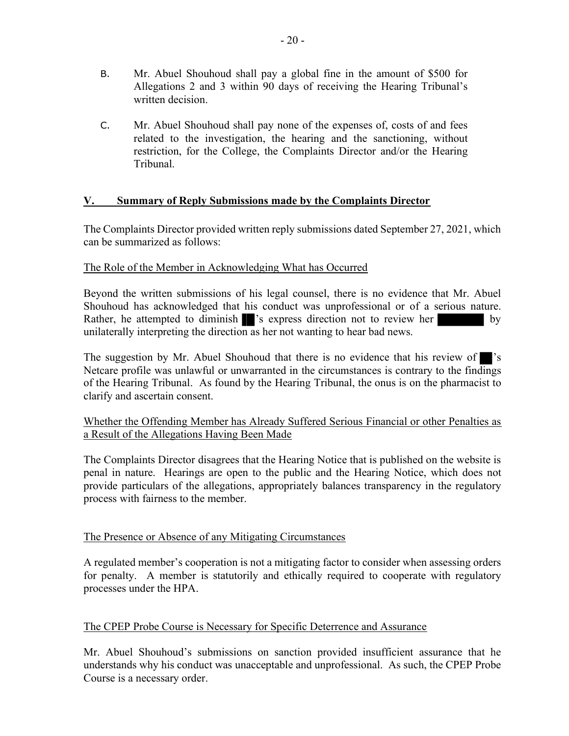- B. Mr. Abuel Shouhoud shall pay a global fine in the amount of \$500 for Allegations 2 and 3 within 90 days of receiving the Hearing Tribunal's written decision.
- C. Mr. Abuel Shouhoud shall pay none of the expenses of, costs of and fees related to the investigation, the hearing and the sanctioning, without restriction, for the College, the Complaints Director and/or the Hearing Tribunal.

## V. Summary of Reply Submissions made by the Complaints Director

The Complaints Director provided written reply submissions dated September 27, 2021, which can be summarized as follows:

### The Role of the Member in Acknowledging What has Occurred

Beyond the written submissions of his legal counsel, there is no evidence that Mr. Abuel Shouhoud has acknowledged that his conduct was unprofessional or of a serious nature. Rather, he attempted to diminish s express direction not to review her by unilaterally interpreting the direction as her not wanting to hear bad news.

The suggestion by Mr. Abuel Shouhoud that there is no evidence that his review of 's Netcare profile was unlawful or unwarranted in the circumstances is contrary to the findings of the Hearing Tribunal. As found by the Hearing Tribunal, the onus is on the pharmacist to clarify and ascertain consent.

## Whether the Offending Member has Already Suffered Serious Financial or other Penalties as a Result of the Allegations Having Been Made

The Complaints Director disagrees that the Hearing Notice that is published on the website is penal in nature. Hearings are open to the public and the Hearing Notice, which does not provide particulars of the allegations, appropriately balances transparency in the regulatory process with fairness to the member.

### The Presence or Absence of any Mitigating Circumstances

A regulated member's cooperation is not a mitigating factor to consider when assessing orders for penalty. A member is statutorily and ethically required to cooperate with regulatory processes under the HPA.

## The CPEP Probe Course is Necessary for Specific Deterrence and Assurance

Mr. Abuel Shouhoud's submissions on sanction provided insufficient assurance that he understands why his conduct was unacceptable and unprofessional. As such, the CPEP Probe Course is a necessary order.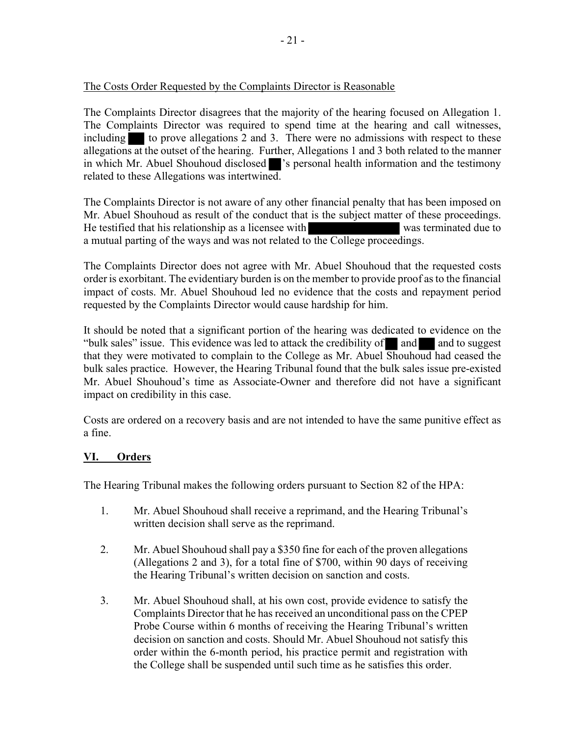## The Costs Order Requested by the Complaints Director is Reasonable

The Complaints Director disagrees that the majority of the hearing focused on Allegation 1. The Complaints Director was required to spend time at the hearing and call witnesses, including  $\blacksquare$  to prove allegations 2 and 3. There were no admissions with respect to these allegations at the outset of the hearing. Further, Allegations 1 and 3 both related to the manner in which Mr. Abuel Shouhoud disclosed signifier is personal health information and the testimony related to these Allegations was intertwined.

The Complaints Director is not aware of any other financial penalty that has been imposed on Mr. Abuel Shouhoud as result of the conduct that is the subject matter of these proceedings. He testified that his relationship as a licensee with was terminated due to a mutual parting of the ways and was not related to the College proceedings.

The Complaints Director does not agree with Mr. Abuel Shouhoud that the requested costs order is exorbitant. The evidentiary burden is on the member to provide proof as to the financial impact of costs. Mr. Abuel Shouhoud led no evidence that the costs and repayment period requested by the Complaints Director would cause hardship for him.

It should be noted that a significant portion of the hearing was dedicated to evidence on the "bulk sales" issue. This evidence was led to attack the credibility of  $\Box$  and  $\Box$  and to suggest that they were motivated to complain to the College as Mr. Abuel Shouhoud had ceased the bulk sales practice. However, the Hearing Tribunal found that the bulk sales issue pre-existed Mr. Abuel Shouhoud's time as Associate-Owner and therefore did not have a significant impact on credibility in this case.

Costs are ordered on a recovery basis and are not intended to have the same punitive effect as a fine.

## VI. Orders

The Hearing Tribunal makes the following orders pursuant to Section 82 of the HPA:

- 1. Mr. Abuel Shouhoud shall receive a reprimand, and the Hearing Tribunal's written decision shall serve as the reprimand.
- 2. Mr. Abuel Shouhoud shall pay a \$350 fine for each of the proven allegations (Allegations 2 and 3), for a total fine of \$700, within 90 days of receiving the Hearing Tribunal's written decision on sanction and costs.
- 3. Mr. Abuel Shouhoud shall, at his own cost, provide evidence to satisfy the Complaints Director that he has received an unconditional pass on the CPEP Probe Course within 6 months of receiving the Hearing Tribunal's written decision on sanction and costs. Should Mr. Abuel Shouhoud not satisfy this order within the 6-month period, his practice permit and registration with the College shall be suspended until such time as he satisfies this order.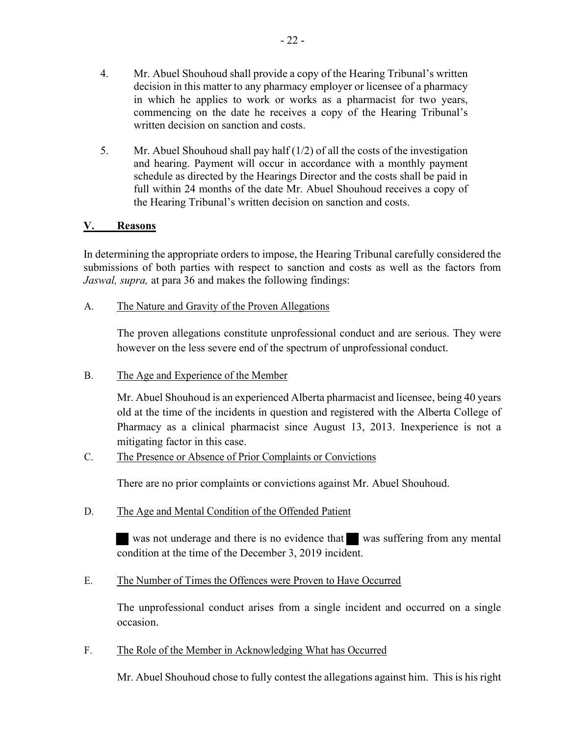- 22 -

- decision in this matter to any pharmacy employer or licensee of a pharmacy in which he applies to work or works as a pharmacist for two years, commencing on the date he receives a copy of the Hearing Tribunal's written decision on sanction and costs.
- 5. Mr. Abuel Shouhoud shall pay half (1/2) of all the costs of the investigation and hearing. Payment will occur in accordance with a monthly payment schedule as directed by the Hearings Director and the costs shall be paid in full within 24 months of the date Mr. Abuel Shouhoud receives a copy of the Hearing Tribunal's written decision on sanction and costs.

# V. Reasons

In determining the appropriate orders to impose, the Hearing Tribunal carefully considered the submissions of both parties with respect to sanction and costs as well as the factors from Jaswal, supra, at para 36 and makes the following findings:

# A. The Nature and Gravity of the Proven Allegations

The proven allegations constitute unprofessional conduct and are serious. They were however on the less severe end of the spectrum of unprofessional conduct.

B. The Age and Experience of the Member

Mr. Abuel Shouhoud is an experienced Alberta pharmacist and licensee, being 40 years old at the time of the incidents in question and registered with the Alberta College of Pharmacy as a clinical pharmacist since August 13, 2013. Inexperience is not a mitigating factor in this case.

C. The Presence or Absence of Prior Complaints or Convictions

There are no prior complaints or convictions against Mr. Abuel Shouhoud.

D. The Age and Mental Condition of the Offended Patient

was not underage and there is no evidence that was suffering from any mental condition at the time of the December 3, 2019 incident.

E. The Number of Times the Offences were Proven to Have Occurred

The unprofessional conduct arises from a single incident and occurred on a single occasion.

F. The Role of the Member in Acknowledging What has Occurred

Mr. Abuel Shouhoud chose to fully contest the allegations against him. This is his right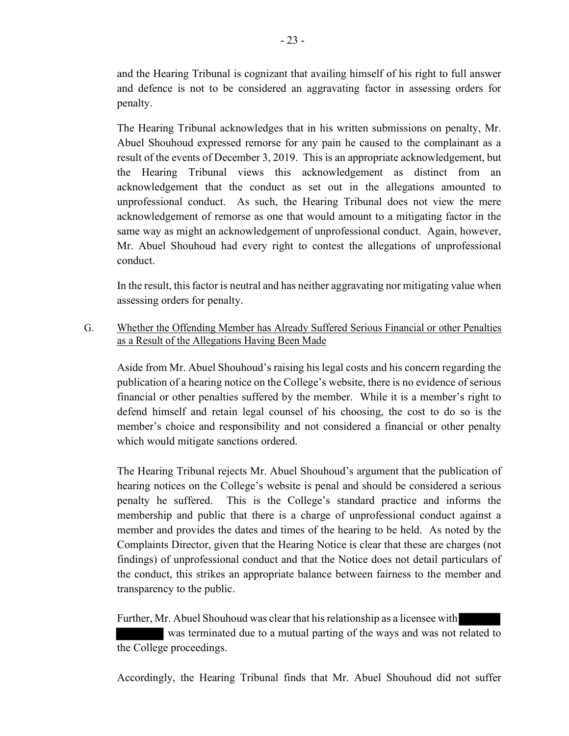and the Hearing Tribunal is cognizant that availing himself of his right to full answer and defence is not to be considered an aggravating factor in assessing orders for penalty.

The Hearing Tribunal acknowledges that in his written submissions on penalty, Mr. Abuel Shouhoud expressed remorse for any pain he caused to the complainant as a result of the events of December 3, 2019. This is an appropriate acknowledgement, but the Hearing Tribunal views this acknowledgement as distinct from an acknowledgement that the conduct as set out in the allegations amounted to unprofessional conduct. As such, the Hearing Tribunal does not view the mere acknowledgement of remorse as one that would amount to a mitigating factor in the same way as might an acknowledgement of unprofessional conduct. Again, however, Mr. Abuel Shouhoud had every right to contest the allegations of unprofessional conduct.

In the result, this factor is neutral and has neither aggravating nor mitigating value when assessing orders for penalty.

G. Whether the Offending Member has Already Suffered Serious Financial or other Penalties as a Result of the Allegations Having Been Made

Aside from Mr. Abuel Shouhoud's raising his legal costs and his concern regarding the publication of a hearing notice on the College's website, there is no evidence of serious financial or other penalties suffered by the member. While it is a member's right to defend himself and retain legal counsel of his choosing, the cost to do so is the member's choice and responsibility and not considered a financial or other penalty which would mitigate sanctions ordered.

The Hearing Tribunal rejects Mr. Abuel Shouhoud's argument that the publication of hearing notices on the College's website is penal and should be considered a serious penalty he suffered. This is the College's standard practice and informs the membership and public that there is a charge of unprofessional conduct against a member and provides the dates and times of the hearing to be held. As noted by the Complaints Director, given that the Hearing Notice is clear that these are charges (not findings) of unprofessional conduct and that the Notice does not detail particulars of the conduct, this strikes an appropriate balance between fairness to the member and transparency to the public.

Further, Mr. Abuel Shouhoud was clear that his relationship as a licensee with

 was terminated due to a mutual parting of the ways and was not related to the College proceedings.

Accordingly, the Hearing Tribunal finds that Mr. Abuel Shouhoud did not suffer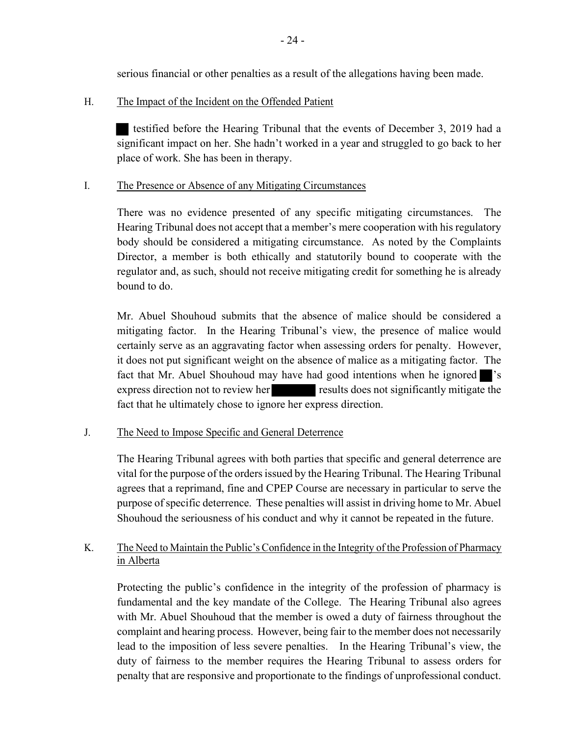serious financial or other penalties as a result of the allegations having been made.

### H. The Impact of the Incident on the Offended Patient

testified before the Hearing Tribunal that the events of December 3, 2019 had a significant impact on her. She hadn't worked in a year and struggled to go back to her place of work. She has been in therapy.

### I. The Presence or Absence of any Mitigating Circumstances

There was no evidence presented of any specific mitigating circumstances. The Hearing Tribunal does not accept that a member's mere cooperation with his regulatory body should be considered a mitigating circumstance. As noted by the Complaints Director, a member is both ethically and statutorily bound to cooperate with the regulator and, as such, should not receive mitigating credit for something he is already bound to do.

Mr. Abuel Shouhoud submits that the absence of malice should be considered a mitigating factor. In the Hearing Tribunal's view, the presence of malice would certainly serve as an aggravating factor when assessing orders for penalty. However, it does not put significant weight on the absence of malice as a mitigating factor. The fact that Mr. Abuel Shouhoud may have had good intentions when he ignored express direction not to review her results does not significantly mitigate the fact that he ultimately chose to ignore her express direction.

## J. The Need to Impose Specific and General Deterrence

The Hearing Tribunal agrees with both parties that specific and general deterrence are vital for the purpose of the orders issued by the Hearing Tribunal. The Hearing Tribunal agrees that a reprimand, fine and CPEP Course are necessary in particular to serve the purpose of specific deterrence. These penalties will assist in driving home to Mr. Abuel Shouhoud the seriousness of his conduct and why it cannot be repeated in the future.

# K. The Need to Maintain the Public's Confidence in the Integrity of the Profession of Pharmacy in Alberta

Protecting the public's confidence in the integrity of the profession of pharmacy is fundamental and the key mandate of the College. The Hearing Tribunal also agrees with Mr. Abuel Shouhoud that the member is owed a duty of fairness throughout the complaint and hearing process. However, being fair to the member does not necessarily lead to the imposition of less severe penalties. In the Hearing Tribunal's view, the duty of fairness to the member requires the Hearing Tribunal to assess orders for penalty that are responsive and proportionate to the findings of unprofessional conduct.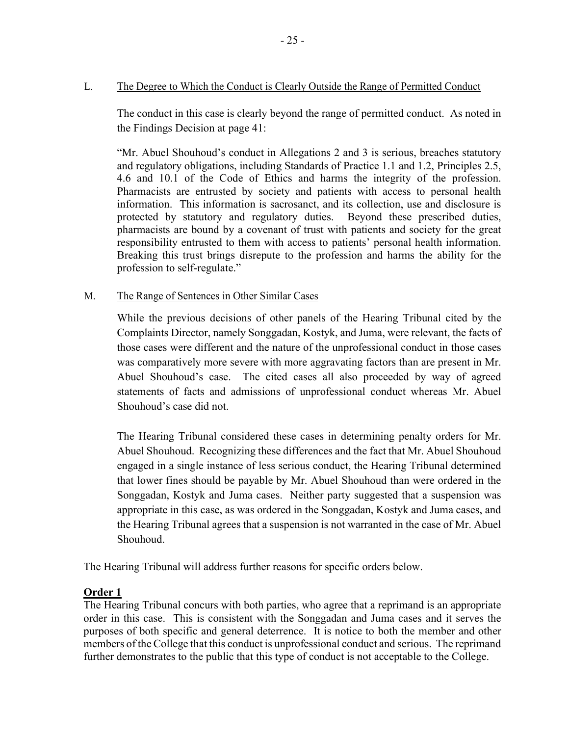### L. The Degree to Which the Conduct is Clearly Outside the Range of Permitted Conduct

The conduct in this case is clearly beyond the range of permitted conduct. As noted in the Findings Decision at page 41:

"Mr. Abuel Shouhoud's conduct in Allegations 2 and 3 is serious, breaches statutory and regulatory obligations, including Standards of Practice 1.1 and 1.2, Principles 2.5, 4.6 and 10.1 of the Code of Ethics and harms the integrity of the profession. Pharmacists are entrusted by society and patients with access to personal health information. This information is sacrosanct, and its collection, use and disclosure is protected by statutory and regulatory duties. Beyond these prescribed duties, pharmacists are bound by a covenant of trust with patients and society for the great responsibility entrusted to them with access to patients' personal health information. Breaking this trust brings disrepute to the profession and harms the ability for the profession to self-regulate."

#### M. The Range of Sentences in Other Similar Cases

While the previous decisions of other panels of the Hearing Tribunal cited by the Complaints Director, namely Songgadan, Kostyk, and Juma, were relevant, the facts of those cases were different and the nature of the unprofessional conduct in those cases was comparatively more severe with more aggravating factors than are present in Mr. Abuel Shouhoud's case. The cited cases all also proceeded by way of agreed statements of facts and admissions of unprofessional conduct whereas Mr. Abuel Shouhoud's case did not.

The Hearing Tribunal considered these cases in determining penalty orders for Mr. Abuel Shouhoud. Recognizing these differences and the fact that Mr. Abuel Shouhoud engaged in a single instance of less serious conduct, the Hearing Tribunal determined that lower fines should be payable by Mr. Abuel Shouhoud than were ordered in the Songgadan, Kostyk and Juma cases. Neither party suggested that a suspension was appropriate in this case, as was ordered in the Songgadan, Kostyk and Juma cases, and the Hearing Tribunal agrees that a suspension is not warranted in the case of Mr. Abuel Shouhoud.

The Hearing Tribunal will address further reasons for specific orders below.

### Order 1

The Hearing Tribunal concurs with both parties, who agree that a reprimand is an appropriate order in this case. This is consistent with the Songgadan and Juma cases and it serves the purposes of both specific and general deterrence. It is notice to both the member and other members of the College that this conduct is unprofessional conduct and serious. The reprimand further demonstrates to the public that this type of conduct is not acceptable to the College.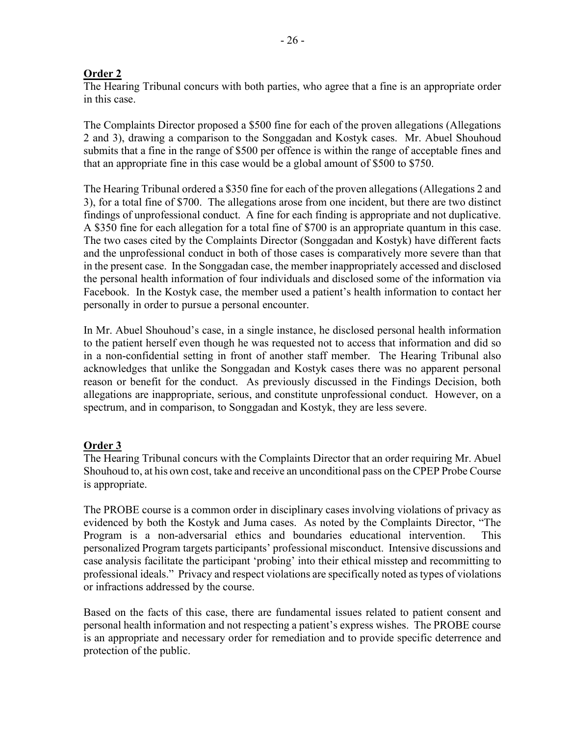## Order 2

The Hearing Tribunal concurs with both parties, who agree that a fine is an appropriate order in this case.

The Complaints Director proposed a \$500 fine for each of the proven allegations (Allegations 2 and 3), drawing a comparison to the Songgadan and Kostyk cases. Mr. Abuel Shouhoud submits that a fine in the range of \$500 per offence is within the range of acceptable fines and that an appropriate fine in this case would be a global amount of \$500 to \$750.

The Hearing Tribunal ordered a \$350 fine for each of the proven allegations (Allegations 2 and 3), for a total fine of \$700. The allegations arose from one incident, but there are two distinct findings of unprofessional conduct. A fine for each finding is appropriate and not duplicative. A \$350 fine for each allegation for a total fine of \$700 is an appropriate quantum in this case. The two cases cited by the Complaints Director (Songgadan and Kostyk) have different facts and the unprofessional conduct in both of those cases is comparatively more severe than that in the present case. In the Songgadan case, the member inappropriately accessed and disclosed the personal health information of four individuals and disclosed some of the information via Facebook. In the Kostyk case, the member used a patient's health information to contact her personally in order to pursue a personal encounter.

In Mr. Abuel Shouhoud's case, in a single instance, he disclosed personal health information to the patient herself even though he was requested not to access that information and did so in a non-confidential setting in front of another staff member. The Hearing Tribunal also acknowledges that unlike the Songgadan and Kostyk cases there was no apparent personal reason or benefit for the conduct. As previously discussed in the Findings Decision, both allegations are inappropriate, serious, and constitute unprofessional conduct. However, on a spectrum, and in comparison, to Songgadan and Kostyk, they are less severe.

## Order 3

The Hearing Tribunal concurs with the Complaints Director that an order requiring Mr. Abuel Shouhoud to, at his own cost, take and receive an unconditional pass on the CPEP Probe Course is appropriate.

The PROBE course is a common order in disciplinary cases involving violations of privacy as evidenced by both the Kostyk and Juma cases. As noted by the Complaints Director, "The Program is a non-adversarial ethics and boundaries educational intervention. This personalized Program targets participants' professional misconduct. Intensive discussions and case analysis facilitate the participant 'probing' into their ethical misstep and recommitting to professional ideals." Privacy and respect violations are specifically noted as types of violations or infractions addressed by the course.

Based on the facts of this case, there are fundamental issues related to patient consent and personal health information and not respecting a patient's express wishes. The PROBE course is an appropriate and necessary order for remediation and to provide specific deterrence and protection of the public.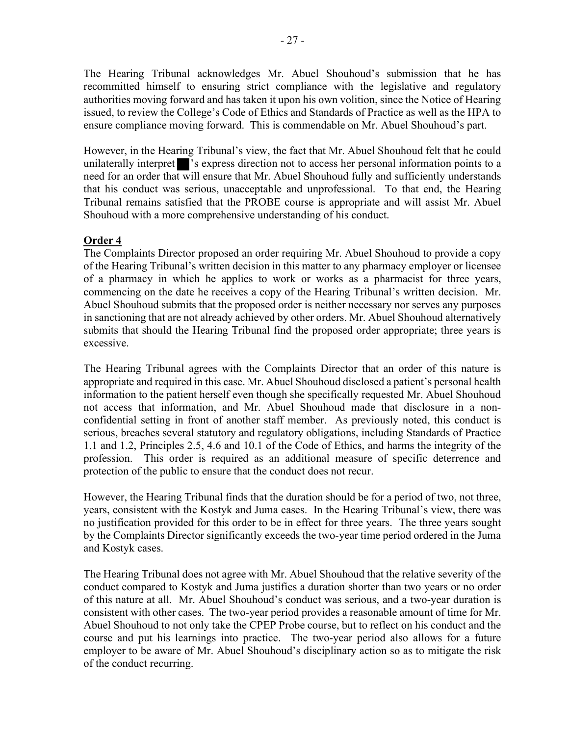The Hearing Tribunal acknowledges Mr. Abuel Shouhoud's submission that he has recommitted himself to ensuring strict compliance with the legislative and regulatory authorities moving forward and has taken it upon his own volition, since the Notice of Hearing issued, to review the College's Code of Ethics and Standards of Practice as well as the HPA to ensure compliance moving forward. This is commendable on Mr. Abuel Shouhoud's part.

However, in the Hearing Tribunal's view, the fact that Mr. Abuel Shouhoud felt that he could unilaterally interpret signifies 's express direction not to access her personal information points to a need for an order that will ensure that Mr. Abuel Shouhoud fully and sufficiently understands that his conduct was serious, unacceptable and unprofessional. To that end, the Hearing Tribunal remains satisfied that the PROBE course is appropriate and will assist Mr. Abuel Shouhoud with a more comprehensive understanding of his conduct.

## Order 4

The Complaints Director proposed an order requiring Mr. Abuel Shouhoud to provide a copy of the Hearing Tribunal's written decision in this matter to any pharmacy employer or licensee of a pharmacy in which he applies to work or works as a pharmacist for three years, commencing on the date he receives a copy of the Hearing Tribunal's written decision. Mr. Abuel Shouhoud submits that the proposed order is neither necessary nor serves any purposes in sanctioning that are not already achieved by other orders. Mr. Abuel Shouhoud alternatively submits that should the Hearing Tribunal find the proposed order appropriate; three years is excessive.

The Hearing Tribunal agrees with the Complaints Director that an order of this nature is appropriate and required in this case. Mr. Abuel Shouhoud disclosed a patient's personal health information to the patient herself even though she specifically requested Mr. Abuel Shouhoud not access that information, and Mr. Abuel Shouhoud made that disclosure in a nonconfidential setting in front of another staff member. As previously noted, this conduct is serious, breaches several statutory and regulatory obligations, including Standards of Practice 1.1 and 1.2, Principles 2.5, 4.6 and 10.1 of the Code of Ethics, and harms the integrity of the profession. This order is required as an additional measure of specific deterrence and protection of the public to ensure that the conduct does not recur.

However, the Hearing Tribunal finds that the duration should be for a period of two, not three, years, consistent with the Kostyk and Juma cases. In the Hearing Tribunal's view, there was no justification provided for this order to be in effect for three years. The three years sought by the Complaints Director significantly exceeds the two-year time period ordered in the Juma and Kostyk cases.

The Hearing Tribunal does not agree with Mr. Abuel Shouhoud that the relative severity of the conduct compared to Kostyk and Juma justifies a duration shorter than two years or no order of this nature at all. Mr. Abuel Shouhoud's conduct was serious, and a two-year duration is consistent with other cases. The two-year period provides a reasonable amount of time for Mr. Abuel Shouhoud to not only take the CPEP Probe course, but to reflect on his conduct and the course and put his learnings into practice. The two-year period also allows for a future employer to be aware of Mr. Abuel Shouhoud's disciplinary action so as to mitigate the risk of the conduct recurring.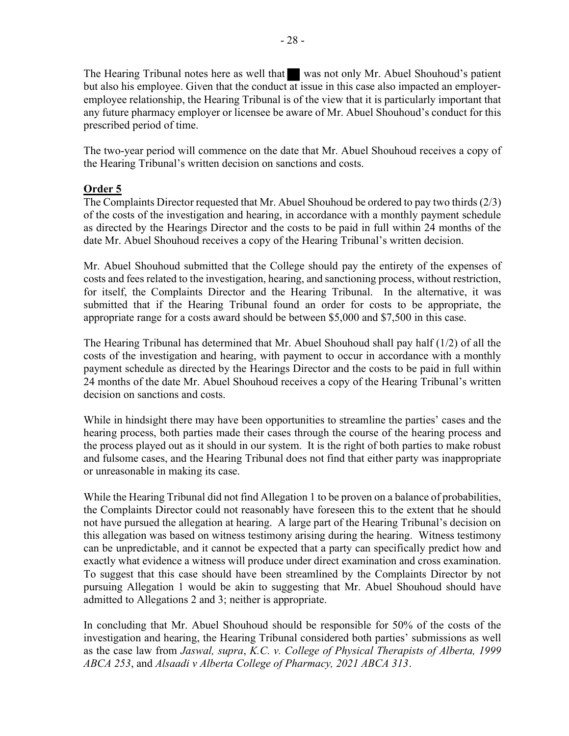The Hearing Tribunal notes here as well that was not only Mr. Abuel Shouhoud's patient but also his employee. Given that the conduct at issue in this case also impacted an employeremployee relationship, the Hearing Tribunal is of the view that it is particularly important that any future pharmacy employer or licensee be aware of Mr. Abuel Shouhoud's conduct for this prescribed period of time.

The two-year period will commence on the date that Mr. Abuel Shouhoud receives a copy of the Hearing Tribunal's written decision on sanctions and costs.

## Order 5

The Complaints Director requested that Mr. Abuel Shouhoud be ordered to pay two thirds (2/3) of the costs of the investigation and hearing, in accordance with a monthly payment schedule as directed by the Hearings Director and the costs to be paid in full within 24 months of the date Mr. Abuel Shouhoud receives a copy of the Hearing Tribunal's written decision.

Mr. Abuel Shouhoud submitted that the College should pay the entirety of the expenses of costs and fees related to the investigation, hearing, and sanctioning process, without restriction, for itself, the Complaints Director and the Hearing Tribunal. In the alternative, it was submitted that if the Hearing Tribunal found an order for costs to be appropriate, the appropriate range for a costs award should be between \$5,000 and \$7,500 in this case.

The Hearing Tribunal has determined that Mr. Abuel Shouhoud shall pay half (1/2) of all the costs of the investigation and hearing, with payment to occur in accordance with a monthly payment schedule as directed by the Hearings Director and the costs to be paid in full within 24 months of the date Mr. Abuel Shouhoud receives a copy of the Hearing Tribunal's written decision on sanctions and costs.

While in hindsight there may have been opportunities to streamline the parties' cases and the hearing process, both parties made their cases through the course of the hearing process and the process played out as it should in our system. It is the right of both parties to make robust and fulsome cases, and the Hearing Tribunal does not find that either party was inappropriate or unreasonable in making its case.

While the Hearing Tribunal did not find Allegation 1 to be proven on a balance of probabilities, the Complaints Director could not reasonably have foreseen this to the extent that he should not have pursued the allegation at hearing. A large part of the Hearing Tribunal's decision on this allegation was based on witness testimony arising during the hearing. Witness testimony can be unpredictable, and it cannot be expected that a party can specifically predict how and exactly what evidence a witness will produce under direct examination and cross examination. To suggest that this case should have been streamlined by the Complaints Director by not pursuing Allegation 1 would be akin to suggesting that Mr. Abuel Shouhoud should have admitted to Allegations 2 and 3; neither is appropriate.

In concluding that Mr. Abuel Shouhoud should be responsible for 50% of the costs of the investigation and hearing, the Hearing Tribunal considered both parties' submissions as well as the case law from Jaswal, supra, K.C. v. College of Physical Therapists of Alberta, 1999 ABCA 253, and Alsaadi v Alberta College of Pharmacy, 2021 ABCA 313.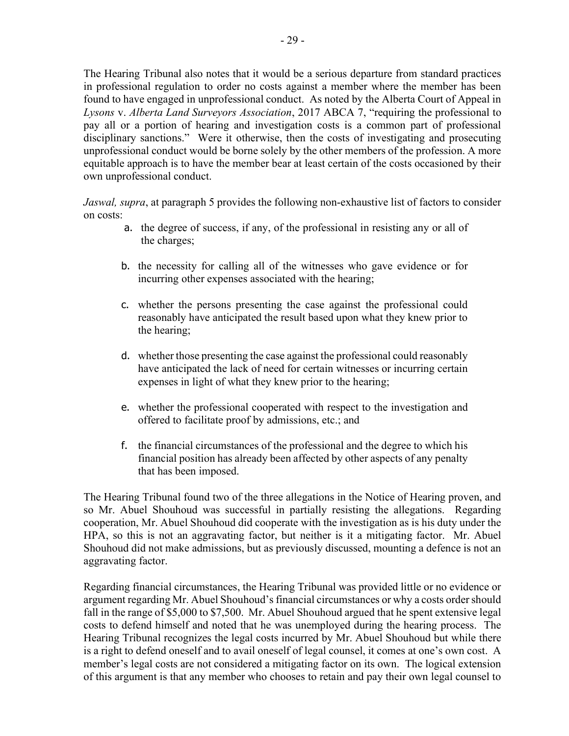The Hearing Tribunal also notes that it would be a serious departure from standard practices in professional regulation to order no costs against a member where the member has been found to have engaged in unprofessional conduct. As noted by the Alberta Court of Appeal in Lysons v. Alberta Land Surveyors Association, 2017 ABCA 7, "requiring the professional to pay all or a portion of hearing and investigation costs is a common part of professional disciplinary sanctions." Were it otherwise, then the costs of investigating and prosecuting unprofessional conduct would be borne solely by the other members of the profession. A more equitable approach is to have the member bear at least certain of the costs occasioned by their own unprofessional conduct.

Jaswal, supra, at paragraph 5 provides the following non-exhaustive list of factors to consider on costs:

- a. the degree of success, if any, of the professional in resisting any or all of the charges;
- b. the necessity for calling all of the witnesses who gave evidence or for incurring other expenses associated with the hearing;
- c. whether the persons presenting the case against the professional could reasonably have anticipated the result based upon what they knew prior to the hearing;
- d. whether those presenting the case against the professional could reasonably have anticipated the lack of need for certain witnesses or incurring certain expenses in light of what they knew prior to the hearing;
- e. whether the professional cooperated with respect to the investigation and offered to facilitate proof by admissions, etc.; and
- f. the financial circumstances of the professional and the degree to which his financial position has already been affected by other aspects of any penalty that has been imposed.

The Hearing Tribunal found two of the three allegations in the Notice of Hearing proven, and so Mr. Abuel Shouhoud was successful in partially resisting the allegations. Regarding cooperation, Mr. Abuel Shouhoud did cooperate with the investigation as is his duty under the HPA, so this is not an aggravating factor, but neither is it a mitigating factor. Mr. Abuel Shouhoud did not make admissions, but as previously discussed, mounting a defence is not an aggravating factor.

Regarding financial circumstances, the Hearing Tribunal was provided little or no evidence or argument regarding Mr. Abuel Shouhoud's financial circumstances or why a costs order should fall in the range of \$5,000 to \$7,500. Mr. Abuel Shouhoud argued that he spent extensive legal costs to defend himself and noted that he was unemployed during the hearing process. The Hearing Tribunal recognizes the legal costs incurred by Mr. Abuel Shouhoud but while there is a right to defend oneself and to avail oneself of legal counsel, it comes at one's own cost. A member's legal costs are not considered a mitigating factor on its own. The logical extension of this argument is that any member who chooses to retain and pay their own legal counsel to